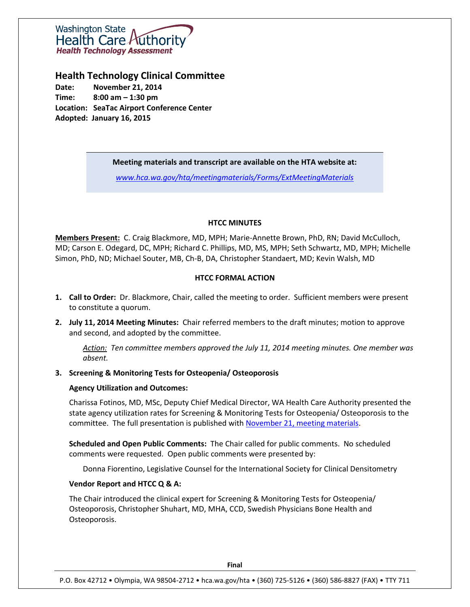

**Health Technology Clinical Committee**

**Date: November 21, 2014 Time: 8:00 am – 1:30 pm Location: SeaTac Airport Conference Center Adopted: January 16, 2015**

### **Meeting materials and transcript are available on the HTA website at:**

*[www.hca.wa.gov/hta/meetingmaterials/Forms/ExtMeetingMaterials](http://www.hca.wa.gov/hta/meetingmaterials/Forms/ExtMeetingMaterials)*

## **HTCC MINUTES**

**Members Present:** C. Craig Blackmore, MD, MPH; Marie-Annette Brown, PhD, RN; David McCulloch, MD; Carson E. Odegard, DC, MPH; Richard C. Phillips, MD, MS, MPH; Seth Schwartz, MD, MPH; Michelle Simon, PhD, ND; Michael Souter, MB, Ch-B, DA, Christopher Standaert, MD; Kevin Walsh, MD

## **HTCC FORMAL ACTION**

- **1. Call to Order:** Dr. Blackmore, Chair, called the meeting to order. Sufficient members were present to constitute a quorum.
- **2. July 11, 2014 Meeting Minutes:** Chair referred members to the draft minutes; motion to approve and second, and adopted by the committee.

*Action: Ten committee members approved the July 11, 2014 meeting minutes. One member was absent.*

## **3. Screening & Monitoring Tests for Osteopenia/ Osteoporosis**

## **Agency Utilization and Outcomes:**

Charissa Fotinos, MD, MSc, Deputy Chief Medical Director, WA Health Care Authority presented the state agency utilization rates for Screening & Monitoring Tests for Osteopenia/ Osteoporosis to the committee. The full presentation is published with [November 21, meeting materials.](http://www.hca.wa.gov/hta/meetingmaterials/Forms/ExtMeetingMaterials.aspx)

**Scheduled and Open Public Comments:** The Chair called for public comments. No scheduled comments were requested. Open public comments were presented by:

Donna Fiorentino, Legislative Counsel for the International Society for Clinical Densitometry

#### **Vendor Report and HTCC Q & A:**

The Chair introduced the clinical expert for Screening & Monitoring Tests for Osteopenia/ Osteoporosis, Christopher Shuhart, MD, MHA, CCD, Swedish Physicians Bone Health and Osteoporosis.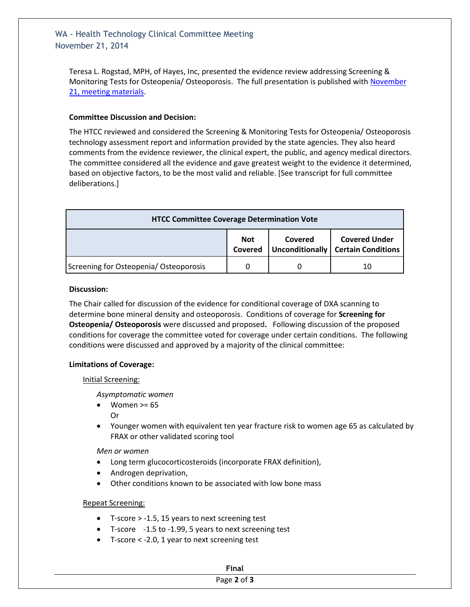# WA - Health Technology Clinical Committee Meeting November 21, 2014

Teresa L. Rogstad, MPH, of Hayes, Inc, presented the evidence review addressing Screening & Monitoring Tests for Osteopenia/ Osteoporosis. The full presentation is published with November [21, meeting materials.](http://www.hca.wa.gov/hta/meetingmaterials/Forms/ExtMeetingMaterials.aspx)

## **Committee Discussion and Decision:**

The HTCC reviewed and considered the Screening & Monitoring Tests for Osteopenia/ Osteoporosis technology assessment report and information provided by the state agencies. They also heard comments from the evidence reviewer, the clinical expert, the public, and agency medical directors. The committee considered all the evidence and gave greatest weight to the evidence it determined, based on objective factors, to be the most valid and reliable. [See transcript for full committee deliberations.]

| <b>HTCC Committee Coverage Determination Vote</b> |                       |         |                                                              |  |
|---------------------------------------------------|-----------------------|---------|--------------------------------------------------------------|--|
|                                                   | <b>Not</b><br>Covered | Covered | <b>Covered Under</b><br>Unconditionally   Certain Conditions |  |
| Screening for Osteopenia/ Osteoporosis            |                       |         | 10                                                           |  |

#### **Discussion:**

The Chair called for discussion of the evidence for conditional coverage of DXA scanning to determine bone mineral density and osteoporosis. Conditions of coverage for **Screening for Osteopenia/ Osteoporosis** were discussed and proposed**.** Following discussion of the proposed conditions for coverage the committee voted for coverage under certain conditions. The following conditions were discussed and approved by a majority of the clinical committee:

#### **Limitations of Coverage:**

#### Initial Screening:

*Asymptomatic women* 

Women >= 65

Or

 Younger women with equivalent ten year fracture risk to women age 65 as calculated by FRAX or other validated scoring tool

*Men or women*

- Long term glucocorticosteroids (incorporate FRAX definition),
- Androgen deprivation,
- Other conditions known to be associated with low bone mass

#### Repeat Screening:

- T-score > -1.5, 15 years to next screening test
- T-score -1.5 to -1.99, 5 years to next screening test
- T-score < -2.0, 1 year to next screening test

## Page **2** of **3**